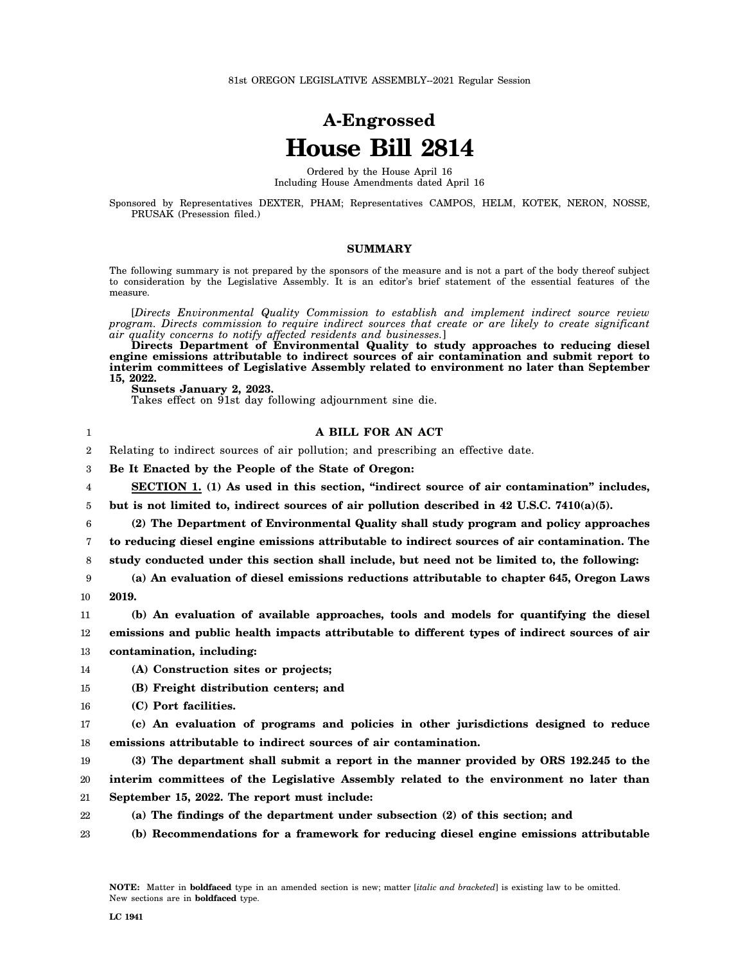## **A-Engrossed House Bill 2814**

Ordered by the House April 16 Including House Amendments dated April 16

Sponsored by Representatives DEXTER, PHAM; Representatives CAMPOS, HELM, KOTEK, NERON, NOSSE, PRUSAK (Presession filed.)

## **SUMMARY**

The following summary is not prepared by the sponsors of the measure and is not a part of the body thereof subject to consideration by the Legislative Assembly. It is an editor's brief statement of the essential features of the measure.

[*Directs Environmental Quality Commission to establish and implement indirect source review program. Directs commission to require indirect sources that create or are likely to create significant air quality concerns to notify affected residents and businesses.*]

**Directs Department of Environmental Quality to study approaches to reducing diesel engine emissions attributable to indirect sources of air contamination and submit report to interim committees of Legislative Assembly related to environment no later than September 15, 2022.**

**A BILL FOR AN ACT**

**Sunsets January 2, 2023.**

1 2 Takes effect on 91st day following adjournment sine die.

Relating to indirect sources of air pollution; and prescribing an effective date.

| 3  | Be It Enacted by the People of the State of Oregon:                                              |
|----|--------------------------------------------------------------------------------------------------|
| 4  | SECTION 1. (1) As used in this section, "indirect source of air contamination" includes,         |
| 5  | but is not limited to, indirect sources of air pollution described in $42$ U.S.C. $7410(a)(5)$ . |
| 6  | (2) The Department of Environmental Quality shall study program and policy approaches            |
| 7  | to reducing diesel engine emissions attributable to indirect sources of air contamination. The   |
| 8  | study conducted under this section shall include, but need not be limited to, the following:     |
| 9  | (a) An evaluation of diesel emissions reductions attributable to chapter 645, Oregon Laws        |
| 10 | 2019.                                                                                            |
| 11 | (b) An evaluation of available approaches, tools and models for quantifying the diesel           |
| 12 | emissions and public health impacts attributable to different types of indirect sources of air   |
| 13 | contamination, including:                                                                        |
| 14 | (A) Construction sites or projects;                                                              |
| 15 | (B) Freight distribution centers; and                                                            |
| 16 | (C) Port facilities.                                                                             |
| 17 | (c) An evaluation of programs and policies in other jurisdictions designed to reduce             |
| 18 | emissions attributable to indirect sources of air contamination.                                 |
| 19 | (3) The department shall submit a report in the manner provided by ORS 192.245 to the            |
| 20 | interim committees of the Legislative Assembly related to the environment no later than          |
| 21 | September 15, 2022. The report must include:                                                     |
| 22 | (a) The findings of the department under subsection (2) of this section; and                     |
| 23 | (b) Recommendations for a framework for reducing diesel engine emissions attributable            |
|    |                                                                                                  |